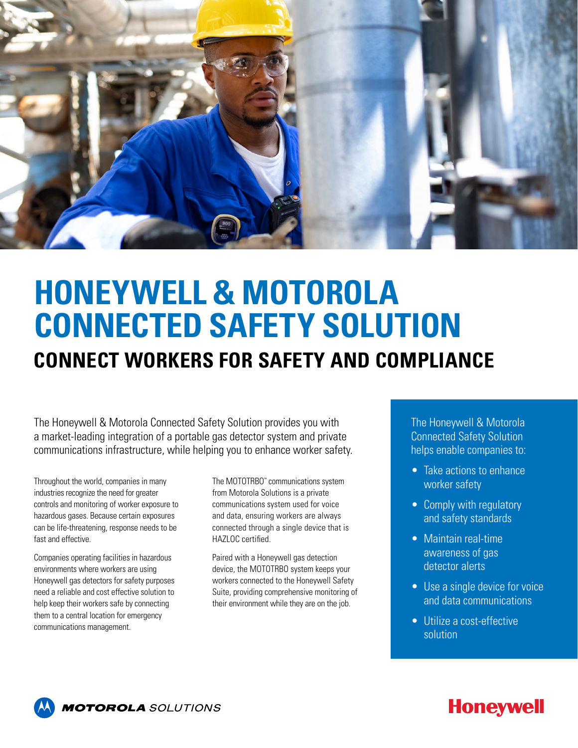

## **HONEYWELL & MOTOROLA CONNECTED SAFETY SOLUTION CONNECT WORKERS FOR SAFETY AND COMPLIANCE**

The Honeywell & Motorola Connected Safety Solution provides you with a market-leading integration of a portable gas detector system and private communications infrastructure, while helping you to enhance worker safety.

Throughout the world, companies in many industries recognize the need for greater controls and monitoring of worker exposure to hazardous gases. Because certain exposures can be life-threatening, response needs to be fast and effective.

Companies operating facilities in hazardous environments where workers are using Honeywell gas detectors for safety purposes need a reliable and cost effective solution to help keep their workers safe by connecting them to a central location for emergency communications management.

The MOTOTRBO™ communications system from Motorola Solutions is a private communications system used for voice and data, ensuring workers are always connected through a single device that is HAZLOC certified.

Paired with a Honeywell gas detection device, the MOTOTRBO system keeps your workers connected to the Honeywell Safety Suite, providing comprehensive monitoring of their environment while they are on the job.

The Honeywell & Motorola Connected Safety Solution helps enable companies to:

- Take actions to enhance worker safety
- Comply with regulatory and safety standards
- Maintain real-time awareness of gas detector alerts
- Use a single device for voice and data communications
- Utilize a cost-effective solution



### **Honeywell**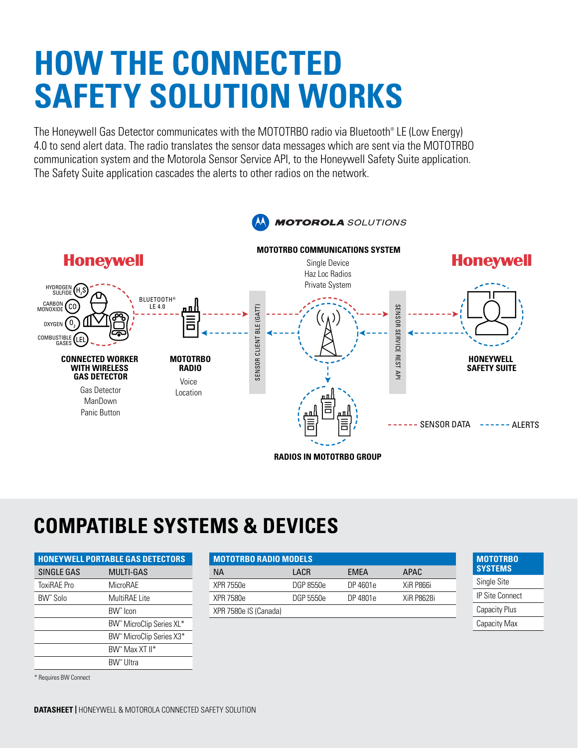# **HOW THE CONNECTED SAFETY SOLUTION WORKS**

The Honeywell Gas Detector communicates with the MOTOTRBO radio via Bluetooth® LE (Low Energy) 4.0 to send alert data. The radio translates the sensor data messages which are sent via the MOTOTRBO communication system and the Motorola Sensor Service API, to the Honeywell Safety Suite application. The Safety Suite application cascades the alerts to other radios on the network.



## **COMPATIBLE SYSTEMS & DEVICES**

|             | <b>HONEYWELL PORTABLE GAS DETECTORS</b> | <b>MOTOTRBO RADIO MODELS</b> |           |             |                   |
|-------------|-----------------------------------------|------------------------------|-----------|-------------|-------------------|
| SINGLE GAS  | MULTI-GAS                               | <b>NA</b>                    | LACR      | <b>EMEA</b> | APAC              |
| ToxiRAE Pro | MicroRAE                                | XPR 7550e                    | DGP 8550e | DP 4601e    | XiR P866i         |
| BW" Solo    | MultiRAE Lite                           | XPR 7580e                    | DGP 5550e | DP 4801e    | <b>XiR P8628i</b> |
|             | BW <sup>"</sup> Icon                    | XPR 7580e IS (Canada)        |           |             |                   |
|             | BW" MicroClip Series XL*                |                              |           |             |                   |
|             | BW <sup>*</sup> MicroClip Series X3*    |                              |           |             |                   |
|             | BW" Max XT II*                          |                              |           |             |                   |
|             | BW" Ultra                               |                              |           |             |                   |

\* Requires BW Connect